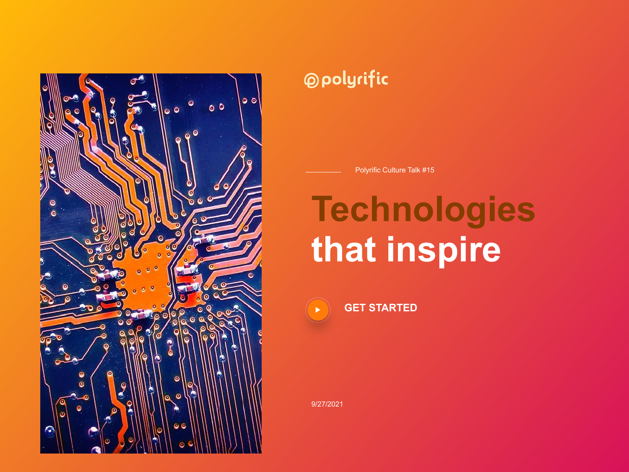

### **@polyrific**

Polyrific Culture Talk #15

## **Technologies that inspire**



**GET STARTED**

9/27/2021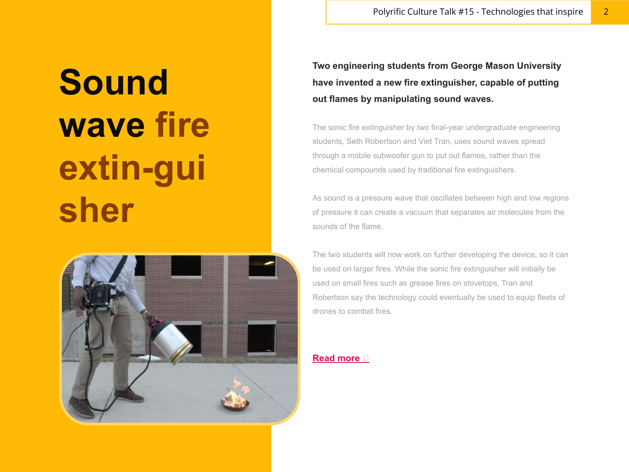## **Sound wave fire extin-gui sher**



**Two engineering students from George Mason University have invented a new fire extinguisher, capable of putting out flames by manipulating sound waves.**

The sonic fire extinguisher by two final-year undergraduate engineering students, Seth Robertson and Viet Tran, uses sound waves spread through a mobile subwoofer gun to put out flames, rather than the chemical compounds used by traditional fire extinguishers.

As sound is a pressure wave that oscillates between high and low regions of pressure it can create a vacuum that separates air molecules from the sounds of the flame.

The two students will now work on further developing the device, so it can be used on larger fires. While the sonic fire extinguisher will initially be used on small fires such as grease fires on stovetops, Tran and Robertson say the technology could eventually be used to equip fleets of drones to combat fires.

### **Read more**  $\Box$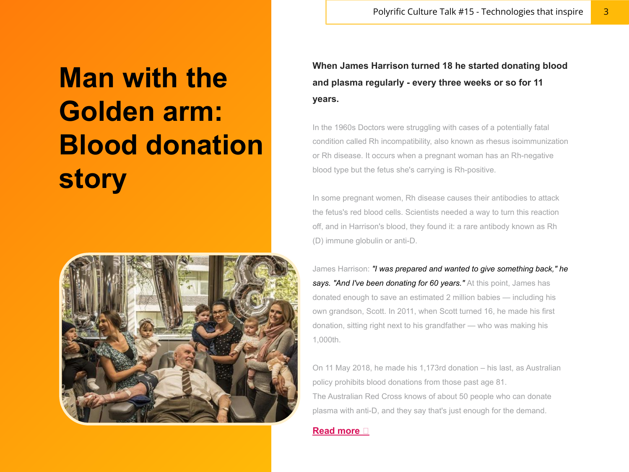## **Man with the Golden arm: Blood donation story**



**When James Harrison turned 18 he started donating blood and plasma regularly - every three weeks or so for 11 years.** 

In the 1960s Doctors were struggling with cases of a potentially fatal condition called Rh incompatibility, also known as rhesus isoimmunization or Rh disease. It occurs when a pregnant woman has an Rh-negative blood type but the fetus she's carrying is Rh-positive.

In some pregnant women, Rh disease causes their antibodies to attack the fetus's red blood cells. Scientists needed a way to turn this reaction off, and in Harrison's blood, they found it: a rare antibody known as Rh (D) immune globulin or anti-D.

James Harrison: *"I was prepared and wanted to give something back," he*  says. "And I've been donating for 60 years." At this point, James has donated enough to save an estimated 2 million babies — including his own grandson, Scott. In 2011, when Scott turned 16, he made his first donation, sitting right next to his grandfather — who was making his 1,000th.

On 11 May 2018, he made his 1,173rd donation – his last, as Australian policy prohibits blood donations from those past age 81. The Australian Red Cross knows of about 50 people who can donate plasma with anti-D, and they say that's just enough for the demand.

#### **Read more**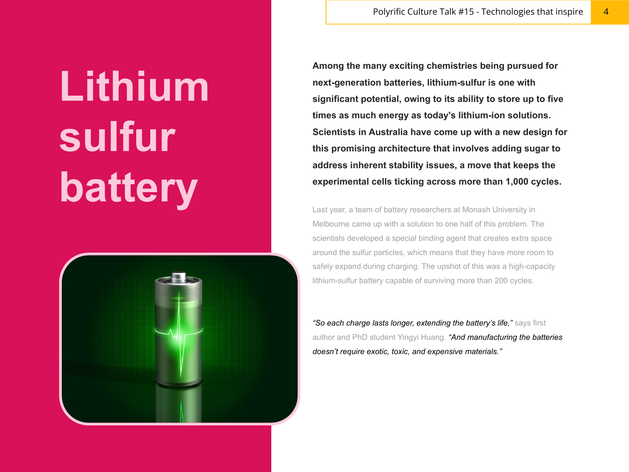Polyrific Culture Talk #15 - Technologies that inspire 4

# **Lithium sulfur battery**



**Among the many exciting chemistries being pursued for next-generation batteries, lithium-sulfur is one with significant potential, owing to its ability to store up to five times as much energy as today's lithium-ion solutions. Scientists in Australia have come up with a new design for this promising architecture that involves adding sugar to address inherent stability issues, a move that keeps the experimental cells ticking across more than 1,000 cycles.**

Last year, a team of battery researchers at Monash University in Melbourne came up with a solution to one half of this problem. The scientists developed a special binding agent that creates extra space around the sulfur particles, which means that they have more room to safely expand during charging. The upshot of this was a high-capacity lithium-sulfur battery capable of surviving more than 200 cycles.

*"So each charge lasts longer, extending the battery's life,"* says first author and PhD student Yingyi Huang. *"And manufacturing the batteries doesn't require exotic, toxic, and expensive materials."*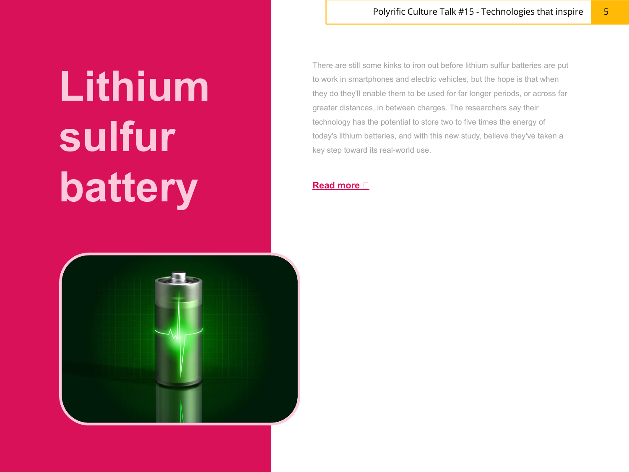Polyrific Culture Talk #15 - Technologies that inspire 5

# **Lithium sulfur battery**



There are still some kinks to iron out before lithium sulfur batteries are put to work in smartphones and electric vehicles, but the hope is that when they do they'll enable them to be used for far longer periods, or across far greater distances, in between charges. The researchers say their technology has the potential to store two to five times the energy of today's lithium batteries, and with this new study, believe they've taken a key step toward its real-world use.

#### **Read more**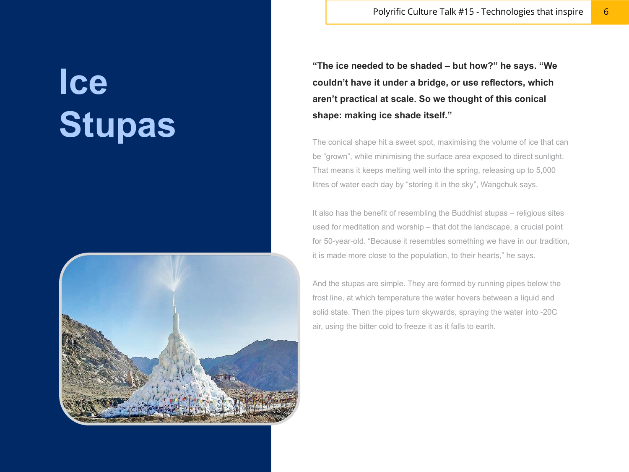**Ice Stupas**



Polyrific Culture Talk #15 - Technologies that inspire 6

**"The ice needed to be shaded – but how?" he says. "We couldn't have it under a bridge, or use reflectors, which aren't practical at scale. So we thought of this conical shape: making ice shade itself."**

The conical shape hit a sweet spot, maximising the volume of ice that can be "grown", while minimising the surface area exposed to direct sunlight. That means it keeps melting well into the spring, releasing up to 5,000 litres of water each day by "storing it in the sky", Wangchuk says.

It also has the benefit of resembling the Buddhist stupas – religious sites used for meditation and worship – that dot the landscape, a crucial point for 50-year-old. "Because it resembles something we have in our tradition, it is made more close to the population, to their hearts," he says.

And the stupas are simple. They are formed by running pipes below the frost line, at which temperature the water hovers between a liquid and solid state. Then the pipes turn skywards, spraying the water into -20C air, using the bitter cold to freeze it as it falls to earth.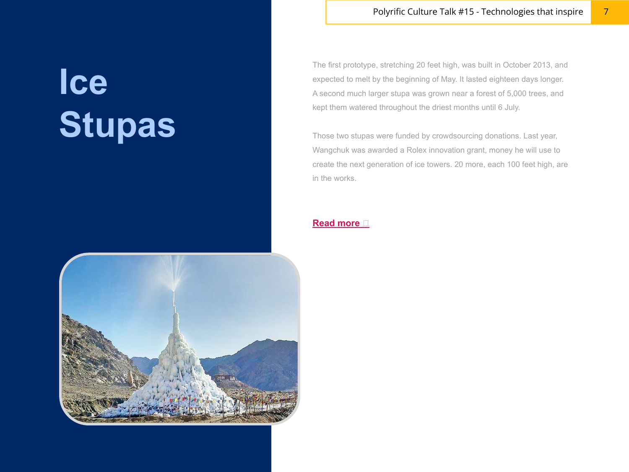## **Ice Stupas**



Those two stupas were funded by crowdsourcing donations. Last year, Wangchuk was awarded a Rolex innovation grant, money he will use to create the next generation of ice towers. 20 more, each 100 feet high, are in the works.

### **Read more**